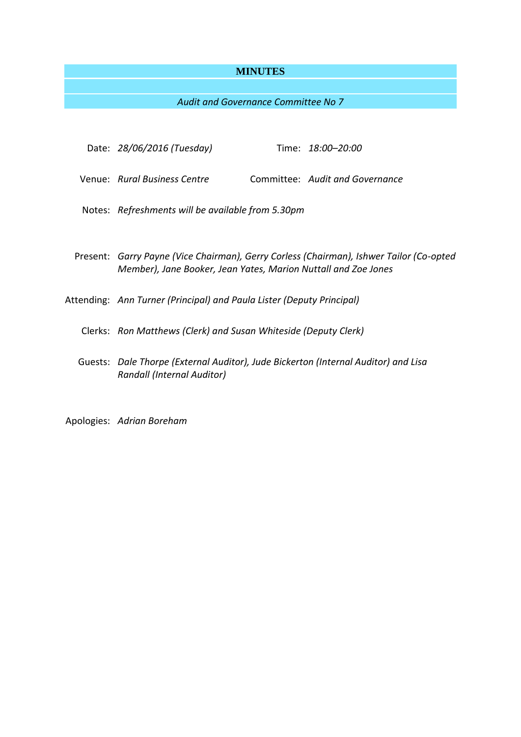# **MINUTES**

# *Audit and Governance Committee No 7*

| Date: 28/06/2016 (Tuesday)                                                                                                                                |  | Time: 18:00-20:00               |
|-----------------------------------------------------------------------------------------------------------------------------------------------------------|--|---------------------------------|
| Venue: Rural Business Centre                                                                                                                              |  | Committee: Audit and Governance |
| Notes: Refreshments will be available from 5.30pm                                                                                                         |  |                                 |
|                                                                                                                                                           |  |                                 |
| Present: Garry Payne (Vice Chairman), Gerry Corless (Chairman), Ishwer Tailor (Co-opted<br>Member), Jane Booker, Jean Yates, Marion Nuttall and Zoe Jones |  |                                 |
| Attending: Ann Turner (Principal) and Paula Lister (Deputy Principal)                                                                                     |  |                                 |
| Clerks: Ron Matthews (Clerk) and Susan Whiteside (Deputy Clerk)                                                                                           |  |                                 |
| Guests: Dale Thorpe (External Auditor), Jude Bickerton (Internal Auditor) and Lisa<br>Randall (Internal Auditor)                                          |  |                                 |
|                                                                                                                                                           |  |                                 |

Apologies: *Adrian Boreham*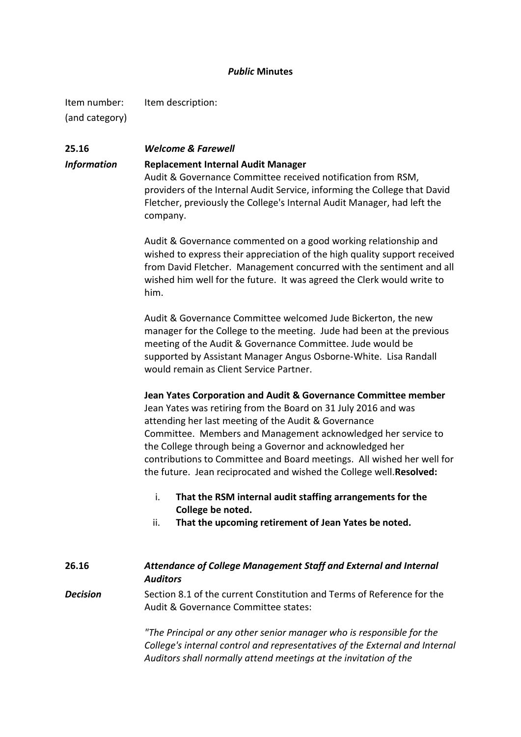# *Public* **Minutes**

Item number: Item description: (and category)

# **25.16** *Welcome & Farewell Information* **Replacement Internal Audit Manager** Audit & Governance Committee received notification from RSM,

providers of the Internal Audit Service, informing the College that David Fletcher, previously the College's Internal Audit Manager, had left the company.

Audit & Governance commented on a good working relationship and wished to express their appreciation of the high quality support received from David Fletcher. Management concurred with the sentiment and all wished him well for the future. It was agreed the Clerk would write to him.

Audit & Governance Committee welcomed Jude Bickerton, the new manager for the College to the meeting. Jude had been at the previous meeting of the Audit & Governance Committee. Jude would be supported by Assistant Manager Angus Osborne-White. Lisa Randall would remain as Client Service Partner.

# **Jean Yates Corporation and Audit & Governance Committee member**

Jean Yates was retiring from the Board on 31 July 2016 and was attending her last meeting of the Audit & Governance Committee. Members and Management acknowledged her service to the College through being a Governor and acknowledged her contributions to Committee and Board meetings. All wished her well for the future. Jean reciprocated and wished the College well.**Resolved:**

- i. **That the RSM internal audit staffing arrangements for the College be noted.**
- ii. **That the upcoming retirement of Jean Yates be noted.**

# **26.16** *Attendance of College Management Staff and External and Internal Auditors*

**Decision** Section 8.1 of the current Constitution and Terms of Reference for the Audit & Governance Committee states:

> *"The Principal or any other senior manager who is responsible for the College's internal control and representatives of the External and Internal Auditors shall normally attend meetings at the invitation of the*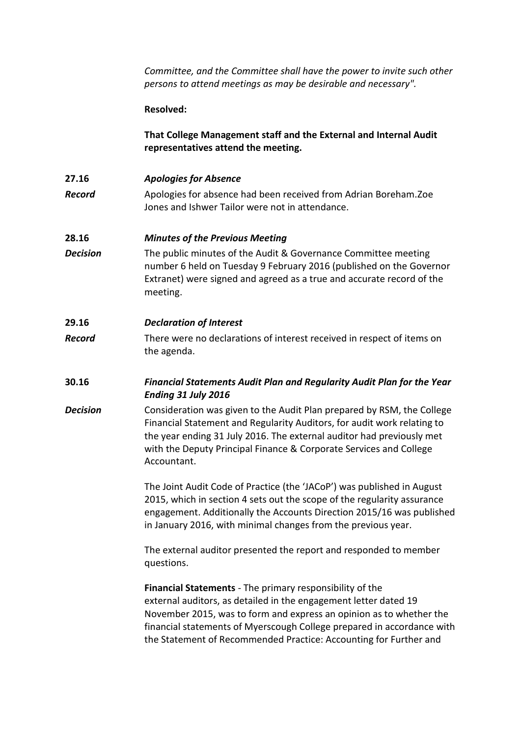*Committee, and the Committee shall have the power to invite such other persons to attend meetings as may be desirable and necessary".*

### **Resolved:**

**That College Management staff and the External and Internal Audit representatives attend the meeting.**

- **27.16** *Apologies for Absence*
- **Record** Apologies for absence had been received from Adrian Boreham.Zoe Jones and Ishwer Tailor were not in attendance.

### **28.16** *Minutes of the Previous Meeting*

**Decision** The public minutes of the Audit & Governance Committee meeting number 6 held on Tuesday 9 February 2016 (published on the Governor Extranet) were signed and agreed as a true and accurate record of the meeting.

# **29.16** *Declaration of Interest*

- **Record** There were no declarations of interest received in respect of items on the agenda.
- **30.16** *Financial Statements Audit Plan and Regularity Audit Plan for the Year Ending 31 July 2016*
- **Decision** Consideration was given to the Audit Plan prepared by RSM, the College Financial Statement and Regularity Auditors, for audit work relating to the year ending 31 July 2016. The external auditor had previously met with the Deputy Principal Finance & Corporate Services and College Accountant.

The Joint Audit Code of Practice (the 'JACoP') was published in August 2015, which in section 4 sets out the scope of the regularity assurance engagement. Additionally the Accounts Direction 2015/16 was published in January 2016, with minimal changes from the previous year.

The external auditor presented the report and responded to member questions.

**Financial Statements** - The primary responsibility of the external auditors, as detailed in the engagement letter dated 19 November 2015, was to form and express an opinion as to whether the financial statements of Myerscough College prepared in accordance with the Statement of Recommended Practice: Accounting for Further and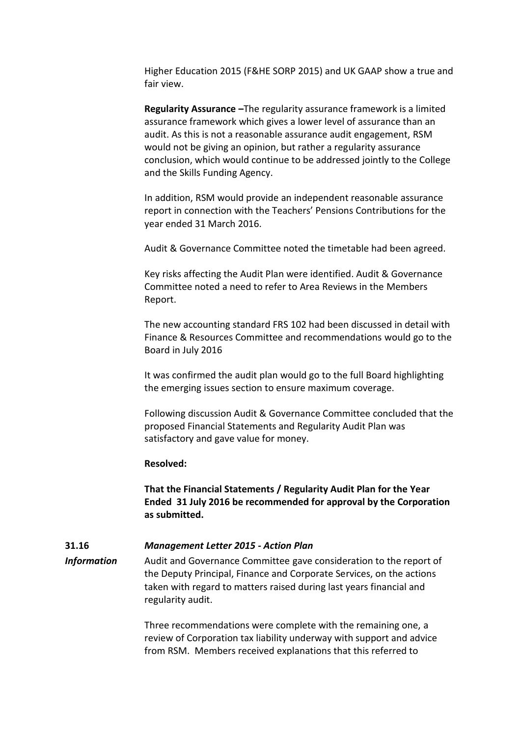Higher Education 2015 (F&HE SORP 2015) and UK GAAP show a true and fair view.

**Regularity Assurance –**The regularity assurance framework is a limited assurance framework which gives a lower level of assurance than an audit. As this is not a reasonable assurance audit engagement, RSM would not be giving an opinion, but rather a regularity assurance conclusion, which would continue to be addressed jointly to the College and the Skills Funding Agency.

In addition, RSM would provide an independent reasonable assurance report in connection with the Teachers' Pensions Contributions for the year ended 31 March 2016.

Audit & Governance Committee noted the timetable had been agreed.

Key risks affecting the Audit Plan were identified. Audit & Governance Committee noted a need to refer to Area Reviews in the Members Report.

The new accounting standard FRS 102 had been discussed in detail with Finance & Resources Committee and recommendations would go to the Board in July 2016

It was confirmed the audit plan would go to the full Board highlighting the emerging issues section to ensure maximum coverage.

Following discussion Audit & Governance Committee concluded that the proposed Financial Statements and Regularity Audit Plan was satisfactory and gave value for money.

### **Resolved:**

**That the Financial Statements / Regularity Audit Plan for the Year Ended 31 July 2016 be recommended for approval by the Corporation as submitted.**

# **31.16** *Management Letter 2015 - Action Plan*

*Information* Audit and Governance Committee gave consideration to the report of the Deputy Principal, Finance and Corporate Services, on the actions taken with regard to matters raised during last years financial and regularity audit.

> Three recommendations were complete with the remaining one, a review of Corporation tax liability underway with support and advice from RSM. Members received explanations that this referred to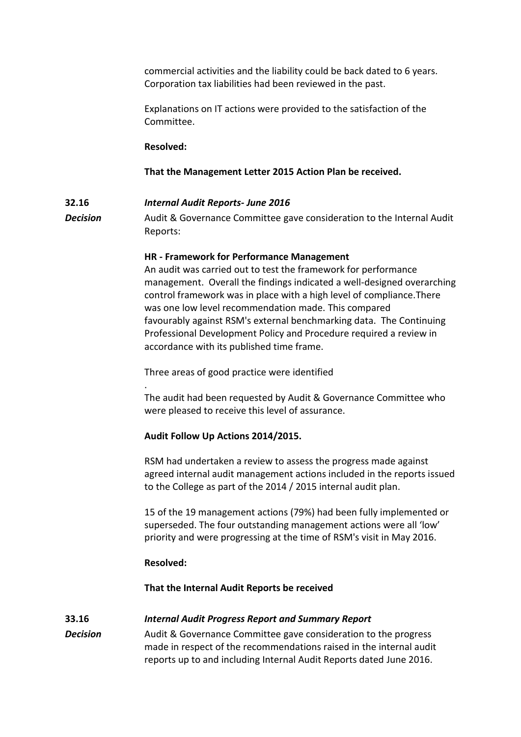commercial activities and the liability could be back dated to 6 years. Corporation tax liabilities had been reviewed in the past.

Explanations on IT actions were provided to the satisfaction of the Committee.

### **Resolved:**

### **That the Management Letter 2015 Action Plan be received.**

### **32.16** *Internal Audit Reports- June 2016*

**Decision** Audit & Governance Committee gave consideration to the Internal Audit Reports:

### **HR - Framework for Performance Management**

An audit was carried out to test the framework for performance management. Overall the findings indicated a well-designed overarching control framework was in place with a high level of compliance.There was one low level recommendation made. This compared favourably against RSM's external benchmarking data. The Continuing Professional Development Policy and Procedure required a review in accordance with its published time frame.

Three areas of good practice were identified

The audit had been requested by Audit & Governance Committee who were pleased to receive this level of assurance.

#### **Audit Follow Up Actions 2014/2015.**

RSM had undertaken a review to assess the progress made against agreed internal audit management actions included in the reports issued to the College as part of the 2014 / 2015 internal audit plan.

15 of the 19 management actions (79%) had been fully implemented or superseded. The four outstanding management actions were all 'low' priority and were progressing at the time of RSM's visit in May 2016.

### **Resolved:**

.

### **That the Internal Audit Reports be received**

### **33.16** *Internal Audit Progress Report and Summary Report*

**Decision** Audit & Governance Committee gave consideration to the progress made in respect of the recommendations raised in the internal audit reports up to and including Internal Audit Reports dated June 2016.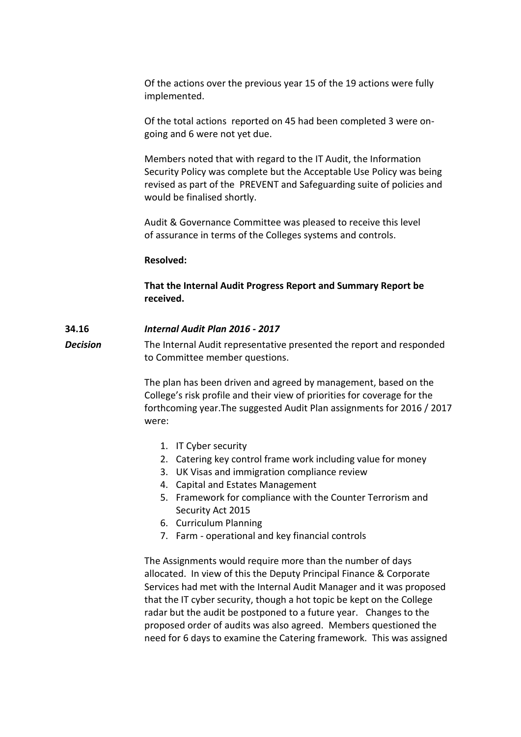Of the actions over the previous year 15 of the 19 actions were fully implemented.

Of the total actions reported on 45 had been completed 3 were ongoing and 6 were not yet due.

Members noted that with regard to the IT Audit, the Information Security Policy was complete but the Acceptable Use Policy was being revised as part of the PREVENT and Safeguarding suite of policies and would be finalised shortly.

Audit & Governance Committee was pleased to receive this level of assurance in terms of the Colleges systems and controls.

#### **Resolved:**

**That the Internal Audit Progress Report and Summary Report be received.**

### **34.16** *Internal Audit Plan 2016 - 2017*

**Decision** The Internal Audit representative presented the report and responded to Committee member questions.

> The plan has been driven and agreed by management, based on the College's risk profile and their view of priorities for coverage for the forthcoming year.The suggested Audit Plan assignments for 2016 / 2017 were:

- 1. IT Cyber security
- 2. Catering key control frame work including value for money
- 3. UK Visas and immigration compliance review
- 4. Capital and Estates Management
- 5. Framework for compliance with the Counter Terrorism and Security Act 2015
- 6. Curriculum Planning
- 7. Farm operational and key financial controls

The Assignments would require more than the number of days allocated. In view of this the Deputy Principal Finance & Corporate Services had met with the Internal Audit Manager and it was proposed that the IT cyber security, though a hot topic be kept on the College radar but the audit be postponed to a future year. Changes to the proposed order of audits was also agreed. Members questioned the need for 6 days to examine the Catering framework. This was assigned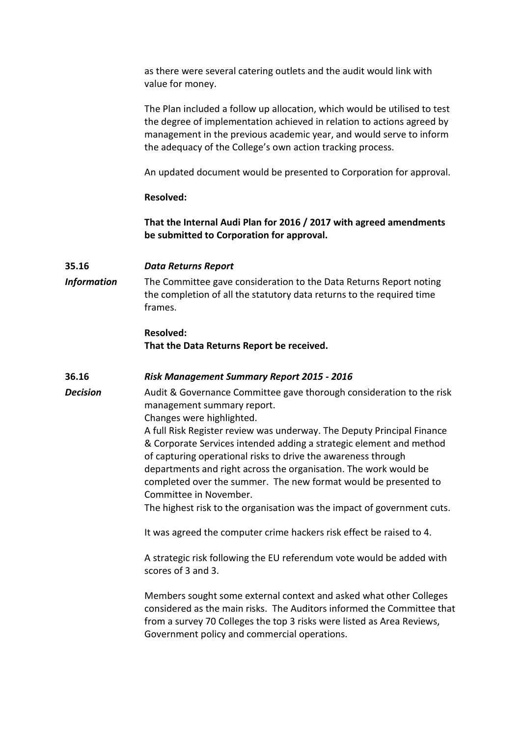as there were several catering outlets and the audit would link with value for money.

The Plan included a follow up allocation, which would be utilised to test the degree of implementation achieved in relation to actions agreed by management in the previous academic year, and would serve to inform the adequacy of the College's own action tracking process.

An updated document would be presented to Corporation for approval.

# **Resolved:**

**That the Internal Audi Plan for 2016 / 2017 with agreed amendments be submitted to Corporation for approval.**

# **35.16** *Data Returns Report*

*Information* The Committee gave consideration to the Data Returns Report noting the completion of all the statutory data returns to the required time frames.

# **Resolved: That the Data Returns Report be received.**

# **36.16** *Risk Management Summary Report 2015 - 2016*

**Decision** Audit & Governance Committee gave thorough consideration to the risk management summary report.

Changes were highlighted.

A full Risk Register review was underway. The Deputy Principal Finance & Corporate Services intended adding a strategic element and method of capturing operational risks to drive the awareness through departments and right across the organisation. The work would be completed over the summer. The new format would be presented to Committee in November.

The highest risk to the organisation was the impact of government cuts.

It was agreed the computer crime hackers risk effect be raised to 4.

A strategic risk following the EU referendum vote would be added with scores of 3 and 3.

Members sought some external context and asked what other Colleges considered as the main risks. The Auditors informed the Committee that from a survey 70 Colleges the top 3 risks were listed as Area Reviews, Government policy and commercial operations.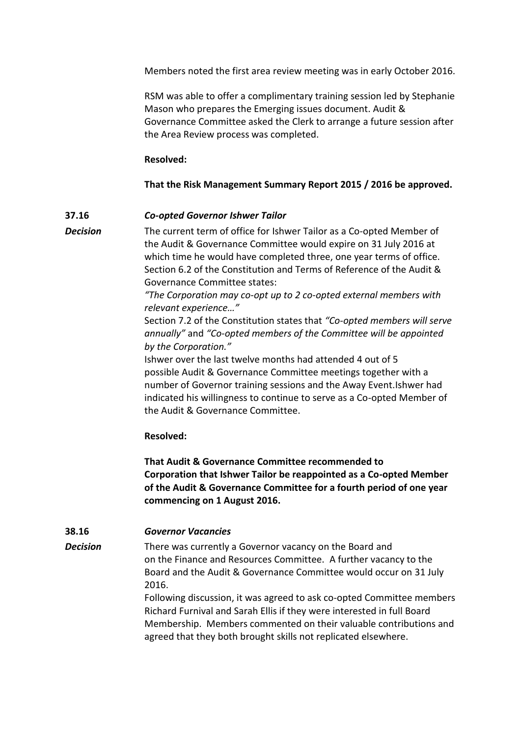Members noted the first area review meeting was in early October 2016.

RSM was able to offer a complimentary training session led by Stephanie Mason who prepares the Emerging issues document. Audit & Governance Committee asked the Clerk to arrange a future session after the Area Review process was completed.

### **Resolved:**

### **That the Risk Management Summary Report 2015 / 2016 be approved.**

### **37.16** *Co-opted Governor Ishwer Tailor*

*Decision* The current term of office for Ishwer Tailor as a Co-opted Member of the Audit & Governance Committee would expire on 31 July 2016 at which time he would have completed three, one year terms of office. Section 6.2 of the Constitution and Terms of Reference of the Audit & Governance Committee states:

> *"The Corporation may co-opt up to 2 co-opted external members with relevant experience…"*

Section 7.2 of the Constitution states that *"Co-opted members will serve annually"* and *"Co-opted members of the Committee will be appointed by the Corporation."*

Ishwer over the last twelve months had attended 4 out of 5 possible Audit & Governance Committee meetings together with a number of Governor training sessions and the Away Event.Ishwer had indicated his willingness to continue to serve as a Co-opted Member of the Audit & Governance Committee.

### **Resolved:**

**That Audit & Governance Committee recommended to Corporation that Ishwer Tailor be reappointed as a Co-opted Member of the Audit & Governance Committee for a fourth period of one year commencing on 1 August 2016.**

### **38.16** *Governor Vacancies*

*Decision* There was currently a Governor vacancy on the Board and on the Finance and Resources Committee. A further vacancy to the Board and the Audit & Governance Committee would occur on 31 July 2016.

> Following discussion, it was agreed to ask co-opted Committee members Richard Furnival and Sarah Ellis if they were interested in full Board Membership. Members commented on their valuable contributions and agreed that they both brought skills not replicated elsewhere.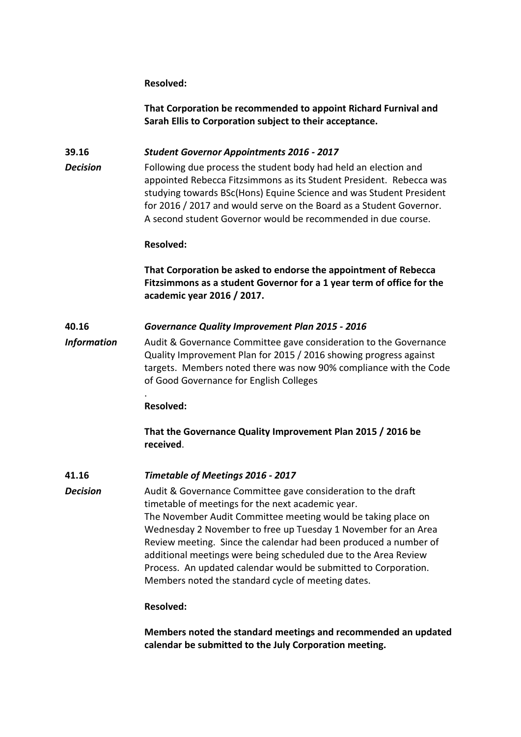### **Resolved:**

**That Corporation be recommended to appoint Richard Furnival and Sarah Ellis to Corporation subject to their acceptance.**

### **39.16** *Student Governor Appointments 2016 - 2017*

**Decision** Following due process the student body had held an election and appointed Rebecca Fitzsimmons as its Student President. Rebecca was studying towards BSc(Hons) Equine Science and was Student President for 2016 / 2017 and would serve on the Board as a Student Governor. A second student Governor would be recommended in due course.

### **Resolved:**

**That Corporation be asked to endorse the appointment of Rebecca Fitzsimmons as a student Governor for a 1 year term of office for the academic year 2016 / 2017.**

### **40.16** *Governance Quality Improvement Plan 2015 - 2016*

*Information* Audit & Governance Committee gave consideration to the Governance Quality Improvement Plan for 2015 / 2016 showing progress against targets. Members noted there was now 90% compliance with the Code of Good Governance for English Colleges

### **Resolved:**

.

**That the Governance Quality Improvement Plan 2015 / 2016 be received**.

# **41.16** *Timetable of Meetings 2016 - 2017*

**Decision** Audit & Governance Committee gave consideration to the draft timetable of meetings for the next academic year. The November Audit Committee meeting would be taking place on Wednesday 2 November to free up Tuesday 1 November for an Area Review meeting. Since the calendar had been produced a number of additional meetings were being scheduled due to the Area Review Process. An updated calendar would be submitted to Corporation. Members noted the standard cycle of meeting dates.

#### **Resolved:**

**Members noted the standard meetings and recommended an updated calendar be submitted to the July Corporation meeting.**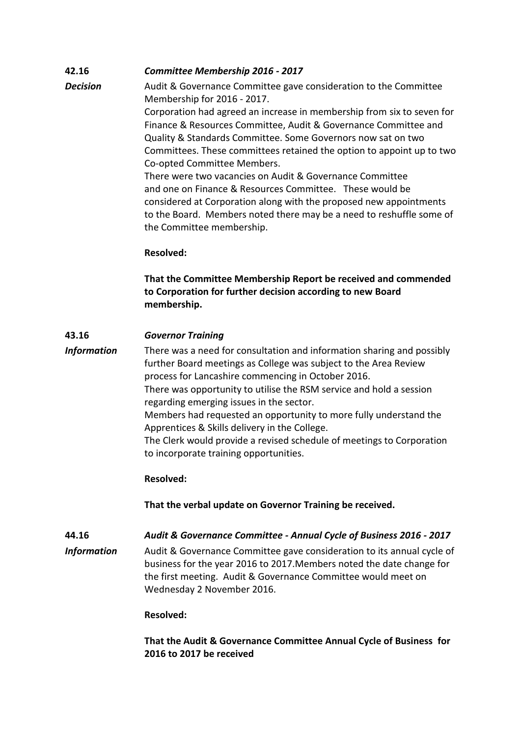# **42.16** *Committee Membership 2016 - 2017*

**Decision** Audit & Governance Committee gave consideration to the Committee Membership for 2016 - 2017. Corporation had agreed an increase in membership from six to seven for Finance & Resources Committee, Audit & Governance Committee and Quality & Standards Committee. Some Governors now sat on two Committees. These committees retained the option to appoint up to two Co-opted Committee Members. There were two vacancies on Audit & Governance Committee and one on Finance & Resources Committee. These would be considered at Corporation along with the proposed new appointments to the Board. Members noted there may be a need to reshuffle some of the Committee membership.

# **Resolved:**

**That the Committee Membership Report be received and commended to Corporation for further decision according to new Board membership.**

# **43.16** *Governor Training*

*Information* There was a need for consultation and information sharing and possibly further Board meetings as College was subject to the Area Review process for Lancashire commencing in October 2016. There was opportunity to utilise the RSM service and hold a session regarding emerging issues in the sector. Members had requested an opportunity to more fully understand the Apprentices & Skills delivery in the College. The Clerk would provide a revised schedule of meetings to Corporation to incorporate training opportunities.

# **Resolved:**

**That the verbal update on Governor Training be received.**

# **44.16** *Audit & Governance Committee - Annual Cycle of Business 2016 - 2017*

*Information* Audit & Governance Committee gave consideration to its annual cycle of business for the year 2016 to 2017.Members noted the date change for the first meeting. Audit & Governance Committee would meet on Wednesday 2 November 2016.

# **Resolved:**

**That the Audit & Governance Committee Annual Cycle of Business for 2016 to 2017 be received**